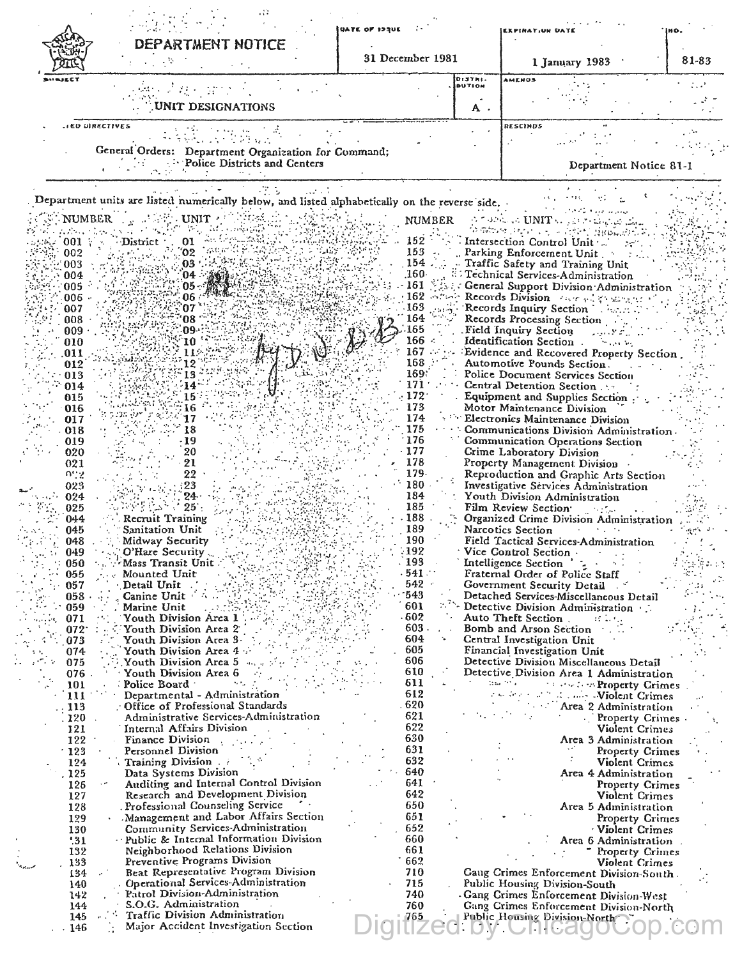|                          |                                                                                                    | <b>DATE OF 123UE</b> |                          | <b>EXPIRATION DAT</b>                                                             |       |
|--------------------------|----------------------------------------------------------------------------------------------------|----------------------|--------------------------|-----------------------------------------------------------------------------------|-------|
|                          | DEPARTMENT NOTICE                                                                                  | 31 December 1981     |                          | 1 January 1983                                                                    | 81-83 |
|                          |                                                                                                    |                      | DISTRI-<br><b>BUTION</b> | AMENOS                                                                            |       |
|                          | UNIT DESIGNATIONS                                                                                  |                      | Α.                       |                                                                                   |       |
|                          | <b>HED DIRECTIVES</b>                                                                              |                      |                          | RESCINDS                                                                          |       |
|                          | General Orders: Department Organization for Command;                                               |                      |                          |                                                                                   |       |
|                          | <b>Police Districts and Centers</b>                                                                |                      |                          | Department Notice 81-1                                                            |       |
|                          | Department units are listed numerically below, and listed alphabetically on the reverse side.      |                      |                          |                                                                                   |       |
| <b>NUMBER</b>            | UNIT                                                                                               |                      | <b>NUMBER</b>            | $\phi$ to the stability of $\phi$ and $\phi$                                      |       |
| 001                      | District<br>01                                                                                     | 152                  |                          | ਿਕਹਿਆ ਸਾਹਾ ਹਨ - ਹੋਈਨੀ ਸੁੱਖਿੱਛਰ<br>Intersection Control Unit                       |       |
| 002                      | 02'                                                                                                | 153                  |                          | Parking Enforcement Unit.                                                         |       |
| 003<br>004               | 03<br>04                                                                                           | 154<br>.160-         |                          | Traffic Safety and Training Unit<br>Technical Services-Administration             |       |
| 005                      | 05                                                                                                 | 161                  |                          | General Support Division Administration                                           |       |
| 006<br>007               | 06<br>07                                                                                           | 162<br>163           |                          | Records Division covered to strate<br>Records Inquiry Section<br>aster 1          |       |
| 008                      | 08                                                                                                 | 164                  |                          | Records Processing Section                                                        |       |
| 009<br>010               | 09<br><b>10</b>                                                                                    | 165<br>166           |                          | Field Inquiry Section<br>Identification Section.<br>يتلو المورد فلأ               |       |
| 011                      | 11                                                                                                 | 167                  |                          | Evidence and Recovered Property Section.                                          |       |
| 012                      | 12                                                                                                 | 168<br>169:          |                          | Automotive Pounds Section.                                                        |       |
| 013<br>014               | 13<br>-14                                                                                          | 171                  |                          | Police Document Services Section<br>Central Detention Section                     |       |
| 015                      | 15                                                                                                 | 172<br>173           |                          | Equipment and Supplies Section                                                    |       |
| 016<br>017               | 16<br>17                                                                                           | 174                  |                          | Motor Maintenance Division<br>Electronics Maintenance Division                    |       |
| 018                      | 18                                                                                                 | 175                  |                          | Communications Division Administration.                                           |       |
| 019<br>020               | -19<br>20                                                                                          | 176<br>177           |                          | Communication Operations Section<br>Crime Laboratory Division                     |       |
| 021                      | 21                                                                                                 | 178                  |                          | Property Management Division                                                      |       |
| ngg<br>023               | 22<br>: 23                                                                                         | 179.<br>180          |                          | Reproduction and Graphic Arts Section<br>Investigative Services Administration    |       |
| 024                      | 24.                                                                                                | 184                  |                          | Youth Division Administration                                                     |       |
| 025<br>044               | 25<br>Recruit Training                                                                             | 185<br>188           |                          | Film Review Section<br>Organized Crime Division Administration                    |       |
| 045                      | Sanitation Unit                                                                                    | 189                  |                          | Narcotics Section                                                                 |       |
| 048<br>049               | Midway Security<br>O'Hare Security                                                                 | 190<br>$-192$        |                          | Field Tactical Services-Administration<br>Vice Control Section                    |       |
| 050                      | Mass Transit Unit                                                                                  | 193                  |                          | Intelligence Section                                                              |       |
| 055                      | Mounted Unit                                                                                       | $.541 -$<br>$542 -$  |                          | Fraternal Order of Police Staff                                                   |       |
| 057<br>058               | Detail Unit<br>Canine Unit                                                                         | 543                  |                          | Government Security Detail<br>Detached Services-Miscellaneous Detail              |       |
| 059                      | Marine Unit                                                                                        | 601                  |                          | Detective Division Administration                                                 |       |
| 071<br>072               | Youth Division Area 1<br>Youth Division Area 2                                                     | - 602<br>603.        |                          | Auto Theft Section.<br>as lung<br>Bomb and Arson Section                          |       |
| 073                      | Youth Division Area 3.                                                                             | 604                  |                          | Central Investigation Unit                                                        |       |
| 074<br>075               | Youth Division Area 4<br>Youth Division Area 5                                                     | 605<br>606           |                          | Financial Investigation Unit<br>Detective Division Miscellaneous Detail           |       |
| 076                      | Youth Division Area 6                                                                              | 610                  |                          | Detective Division Area 1 Administration                                          |       |
| 101<br>111               | Police Board<br>Departmental - Administration                                                      | 611<br>612           |                          | Issue Print<br><b>TECHOLOGY Property Crimes</b><br><b>Allent</b> Crimes           |       |
| 113                      | : Office of Professional Standards                                                                 | .620                 |                          | Area <sup>2</sup> Administration                                                  |       |
| $\frac{1}{2}$ 120<br>121 | Administrative Services-Administration<br>Internal Affairs Division                                | 621<br>622           |                          | Property Crimes<br>Violent Crimes                                                 |       |
| 122                      | Finance Division                                                                                   | 630                  |                          | Area 3 Administration                                                             |       |
| $-123$<br>124            | Personnel Division<br>Training Division .                                                          | 631<br>632           |                          | Property Crimes<br>Violent Crimes                                                 |       |
| . 125                    | Data Systems Division                                                                              | 640                  |                          | Area 4 Administration                                                             |       |
| 126                      | Auditing and Internal Control Division<br>$\epsilon$ $\sigma$<br>Research and Development Division | 641<br>642           |                          | <b>Property Crimes</b>                                                            |       |
| 127<br>128               | Professional Counseling Service                                                                    | 650                  |                          | Violent Crimes<br>Area 5 Administration                                           |       |
| 129                      | Management and Labor Affairs Section                                                               | 651                  |                          | Property Crimes                                                                   |       |
| 130<br>'31               | Community Services-Administration<br>- Public & Internal Information Division                      | 652<br>660           |                          | Violent Crimes<br>Area 6 Administration                                           |       |
| 132                      | Neighborhood Relations Division                                                                    | 661                  |                          | <b>Property Crimes</b>                                                            |       |
| 133<br>مستعاش<br>134     | Preventive Programs Division<br>Beat Representative Program Division                               | 662<br>710           |                          | Violent Crimes<br>Gaug Crimes Enforcement Division-South.                         |       |
| 140                      | Operational Services-Administration                                                                | 715                  |                          | Public Housing Division-South                                                     |       |
| 142<br>144               | Patrol Division-Administration<br>S.O.G. Administration                                            | 740<br>760           |                          | - Gang Crimes Enforcement Division-West<br>Gang Crimes Enforcement Division-North |       |
|                          | Traffic Division Administration                                                                    |                      |                          | Public Housing Division-North                                                     |       |
| 145<br>.146              | Major Accident Investigation Section                                                               | 765                  |                          |                                                                                   |       |